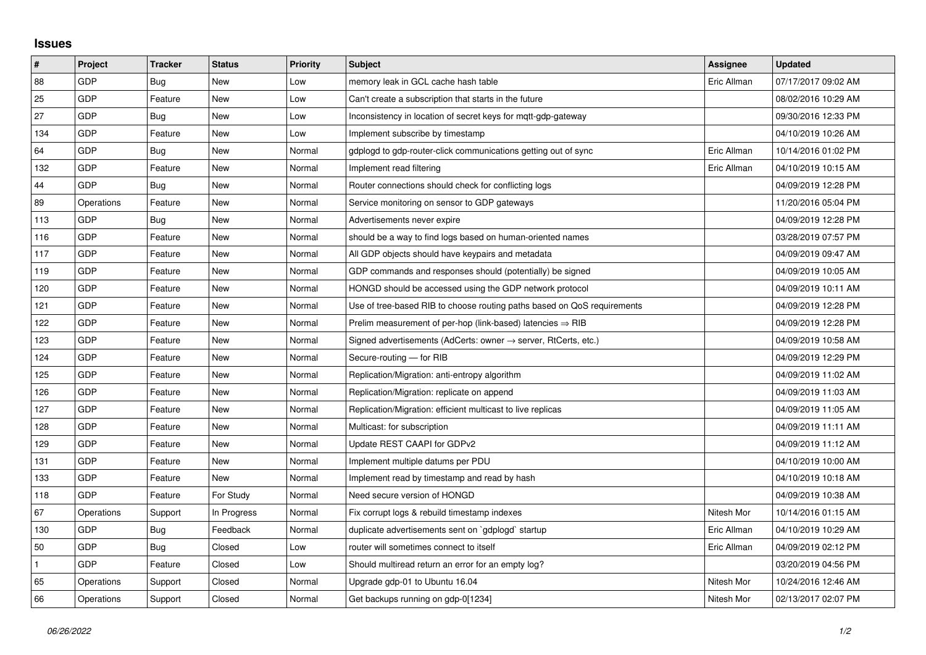## **Issues**

| $\sharp$     | Project    | <b>Tracker</b> | <b>Status</b> | <b>Priority</b> | <b>Subject</b>                                                             | <b>Assignee</b> | <b>Updated</b>      |
|--------------|------------|----------------|---------------|-----------------|----------------------------------------------------------------------------|-----------------|---------------------|
| 88           | GDP        | Bug            | New           | Low             | memory leak in GCL cache hash table                                        | Eric Allman     | 07/17/2017 09:02 AM |
| 25           | GDP        | Feature        | New           | Low             | Can't create a subscription that starts in the future                      |                 | 08/02/2016 10:29 AM |
| 27           | GDP        | Bug            | New           | Low             | Inconsistency in location of secret keys for mgtt-gdp-gateway              |                 | 09/30/2016 12:33 PM |
| 134          | GDP        | Feature        | <b>New</b>    | Low             | Implement subscribe by timestamp                                           |                 | 04/10/2019 10:26 AM |
| 64           | GDP        | Bug            | New           | Normal          | gdplogd to gdp-router-click communications getting out of sync             | Eric Allman     | 10/14/2016 01:02 PM |
| 132          | GDP        | Feature        | New           | Normal          | Implement read filtering                                                   | Eric Allman     | 04/10/2019 10:15 AM |
| 44           | GDP        | Bug            | New           | Normal          | Router connections should check for conflicting logs                       |                 | 04/09/2019 12:28 PM |
| 89           | Operations | Feature        | New           | Normal          | Service monitoring on sensor to GDP gateways                               |                 | 11/20/2016 05:04 PM |
| 113          | GDP        | Bug            | New           | Normal          | Advertisements never expire                                                |                 | 04/09/2019 12:28 PM |
| 116          | GDP        | Feature        | New           | Normal          | should be a way to find logs based on human-oriented names                 |                 | 03/28/2019 07:57 PM |
| 117          | GDP        | Feature        | New           | Normal          | All GDP objects should have keypairs and metadata                          |                 | 04/09/2019 09:47 AM |
| 119          | GDP        | Feature        | New           | Normal          | GDP commands and responses should (potentially) be signed                  |                 | 04/09/2019 10:05 AM |
| 120          | GDP        | Feature        | New           | Normal          | HONGD should be accessed using the GDP network protocol                    |                 | 04/09/2019 10:11 AM |
| 121          | GDP        | Feature        | New           | Normal          | Use of tree-based RIB to choose routing paths based on QoS requirements    |                 | 04/09/2019 12:28 PM |
| 122          | GDP        | Feature        | New           | Normal          | Prelim measurement of per-hop (link-based) latencies $\Rightarrow$ RIB     |                 | 04/09/2019 12:28 PM |
| 123          | GDP        | Feature        | New           | Normal          | Signed advertisements (AdCerts: owner $\rightarrow$ server, RtCerts, etc.) |                 | 04/09/2019 10:58 AM |
| 124          | GDP        | Feature        | New           | Normal          | Secure-routing - for RIB                                                   |                 | 04/09/2019 12:29 PM |
| 125          | <b>GDP</b> | Feature        | New           | Normal          | Replication/Migration: anti-entropy algorithm                              |                 | 04/09/2019 11:02 AM |
| 126          | GDP        | Feature        | New           | Normal          | Replication/Migration: replicate on append                                 |                 | 04/09/2019 11:03 AM |
| 127          | GDP        | Feature        | New           | Normal          | Replication/Migration: efficient multicast to live replicas                |                 | 04/09/2019 11:05 AM |
| 128          | <b>GDP</b> | Feature        | New           | Normal          | Multicast: for subscription                                                |                 | 04/09/2019 11:11 AM |
| 129          | GDP        | Feature        | New           | Normal          | Update REST CAAPI for GDPv2                                                |                 | 04/09/2019 11:12 AM |
| 131          | GDP        | Feature        | New           | Normal          | Implement multiple datums per PDU                                          |                 | 04/10/2019 10:00 AM |
| 133          | GDP        | Feature        | New           | Normal          | Implement read by timestamp and read by hash                               |                 | 04/10/2019 10:18 AM |
| 118          | GDP        | Feature        | For Study     | Normal          | Need secure version of HONGD                                               |                 | 04/09/2019 10:38 AM |
| 67           | Operations | Support        | In Progress   | Normal          | Fix corrupt logs & rebuild timestamp indexes                               | Nitesh Mor      | 10/14/2016 01:15 AM |
| 130          | GDP        | Bug            | Feedback      | Normal          | duplicate advertisements sent on `gdplogd` startup                         | Eric Allman     | 04/10/2019 10:29 AM |
| 50           | GDP        | Bug            | Closed        | Low             | router will sometimes connect to itself                                    | Eric Allman     | 04/09/2019 02:12 PM |
| $\mathbf{1}$ | GDP        | Feature        | Closed        | Low             | Should multiread return an error for an empty log?                         |                 | 03/20/2019 04:56 PM |
| 65           | Operations | Support        | Closed        | Normal          | Upgrade gdp-01 to Ubuntu 16.04                                             | Nitesh Mor      | 10/24/2016 12:46 AM |
| 66           | Operations | Support        | Closed        | Normal          | Get backups running on gdp-0[1234]                                         | Nitesh Mor      | 02/13/2017 02:07 PM |